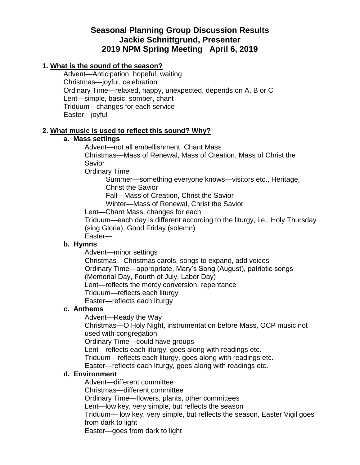# **Seasonal Planning Group Discussion Results Jackie Schnittgrund, Presenter 2019 NPM Spring Meeting April 6, 2019**

## **1. What is the sound of the season?**

Advent—Anticipation, hopeful, waiting Christmas—joyful, celebration Ordinary Time—relaxed, happy, unexpected, depends on A, B or C Lent—simple, basic, somber, chant Triduum—changes for each service Easter—joyful

#### **2. What music is used to reflect this sound? Why?**

#### **a. Mass settings**

Advent—not all embellishment, Chant Mass Christmas—Mass of Renewal, Mass of Creation, Mass of Christ the Savior

Ordinary Time

Summer—something everyone knows—visitors etc., Heritage, Christ the Savior

Fall—Mass of Creation, Christ the Savior

Winter—Mass of Renewal, Christ the Savior

Lent—Chant Mass, changes for each

Triduum—each day is different according to the liturgy, i.e., Holy Thursday (sing Gloria), Good Friday (solemn)

Easter—

#### **b. Hymns**

Advent—minor settings

Christmas—Christmas carols, songs to expand, add voices Ordinary Time—appropriate, Mary's Song (August), patriotic songs (Memorial Day, Fourth of July, Labor Day) Lent—reflects the mercy conversion, repentance Triduum—reflects each liturgy

Easter—reflects each liturgy

#### **c. Anthems**

Advent—Ready the Way

Christmas—O Holy Night, instrumentation before Mass, OCP music not used with congregation

Ordinary Time—could have groups

Lent—reflects each liturgy, goes along with readings etc.

Triduum—reflects each liturgy, goes along with readings etc.

Easter—reflects each liturgy, goes along with readings etc.

#### **d. Environment**

Advent—different committee

Christmas—different committee

Ordinary Time—flowers, plants, other committees

Lent—low key, very simple, but reflects the season

Triduum— low key, very simple, but reflects the season, Easter Vigil goes from dark to light

Easter—goes from dark to light